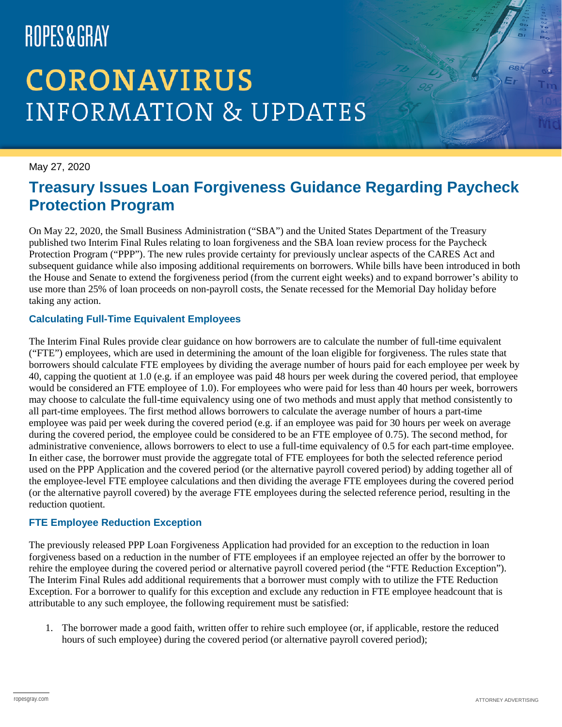# ROPES&GRAY

## **CORONAVIRUS INFORMATION & UPDATES**

May 27, 2020

### **Treasury Issues Loan Forgiveness Guidance Regarding Paycheck Protection Program**

On May 22, 2020, the Small Business Administration ("SBA") and the United States Department of the Treasury published two Interim Final Rules relating to loan forgiveness and the SBA loan review process for the Paycheck Protection Program ("PPP"). The new rules provide certainty for previously unclear aspects of the CARES Act and subsequent guidance while also imposing additional requirements on borrowers. While bills have been introduced in both the House and Senate to extend the forgiveness period (from the current eight weeks) and to expand borrower's ability to use more than 25% of loan proceeds on non-payroll costs, the Senate recessed for the Memorial Day holiday before taking any action.

#### **Calculating Full-Time Equivalent Employees**

The Interim Final Rules provide clear guidance on how borrowers are to calculate the number of full-time equivalent ("FTE") employees, which are used in determining the amount of the loan eligible for forgiveness. The rules state that borrowers should calculate FTE employees by dividing the average number of hours paid for each employee per week by 40, capping the quotient at 1.0 (e.g. if an employee was paid 48 hours per week during the covered period, that employee would be considered an FTE employee of 1.0). For employees who were paid for less than 40 hours per week, borrowers may choose to calculate the full-time equivalency using one of two methods and must apply that method consistently to all part-time employees. The first method allows borrowers to calculate the average number of hours a part-time employee was paid per week during the covered period (e.g. if an employee was paid for 30 hours per week on average during the covered period, the employee could be considered to be an FTE employee of 0.75). The second method, for administrative convenience, allows borrowers to elect to use a full-time equivalency of 0.5 for each part-time employee. In either case, the borrower must provide the aggregate total of FTE employees for both the selected reference period used on the PPP Application and the covered period (or the alternative payroll covered period) by adding together all of the employee-level FTE employee calculations and then dividing the average FTE employees during the covered period (or the alternative payroll covered) by the average FTE employees during the selected reference period, resulting in the reduction quotient.

#### **FTE Employee Reduction Exception**

The previously released PPP Loan Forgiveness Application had provided for an exception to the reduction in loan forgiveness based on a reduction in the number of FTE employees if an employee rejected an offer by the borrower to rehire the employee during the covered period or alternative payroll covered period (the "FTE Reduction Exception"). The Interim Final Rules add additional requirements that a borrower must comply with to utilize the FTE Reduction Exception. For a borrower to qualify for this exception and exclude any reduction in FTE employee headcount that is attributable to any such employee, the following requirement must be satisfied:

1. The borrower made a good faith, written offer to rehire such employee (or, if applicable, restore the reduced hours of such employee) during the covered period (or alternative payroll covered period);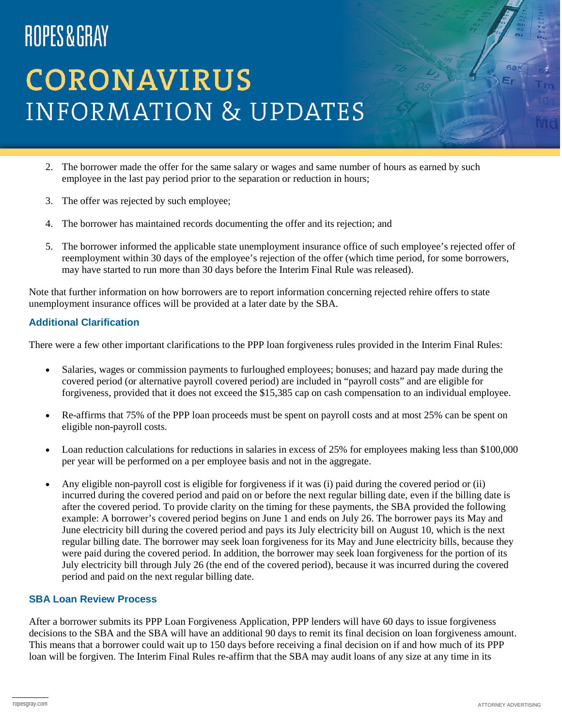# ROPES&GRAY

## **CORONAVIRUS INFORMATION & UPDATES**

- 2. The borrower made the offer for the same salary or wages and same number of hours as earned by such employee in the last pay period prior to the separation or reduction in hours;
- 3. The offer was rejected by such employee;
- 4. The borrower has maintained records documenting the offer and its rejection; and
- 5. The borrower informed the applicable state unemployment insurance office of such employee's rejected offer of reemployment within 30 days of the employee's rejection of the offer (which time period, for some borrowers, may have started to run more than 30 days before the Interim Final Rule was released).

Note that further information on how borrowers are to report information concerning rejected rehire offers to state unemployment insurance offices will be provided at a later date by the SBA.

#### **Additional Clarification**

There were a few other important clarifications to the PPP loan forgiveness rules provided in the Interim Final Rules:

- Salaries, wages or commission payments to furloughed employees; bonuses; and hazard pay made during the covered period (or alternative payroll covered period) are included in "payroll costs" and are eligible for forgiveness, provided that it does not exceed the \$15,385 cap on cash compensation to an individual employee.
- Re-affirms that 75% of the PPP loan proceeds must be spent on payroll costs and at most 25% can be spent on eligible non-payroll costs.
- Loan reduction calculations for reductions in salaries in excess of 25% for employees making less than \$100,000 per year will be performed on a per employee basis and not in the aggregate.
- Any eligible non-payroll cost is eligible for forgiveness if it was (i) paid during the covered period or (ii) incurred during the covered period and paid on or before the next regular billing date, even if the billing date is after the covered period. To provide clarity on the timing for these payments, the SBA provided the following example: A borrower's covered period begins on June 1 and ends on July 26. The borrower pays its May and June electricity bill during the covered period and pays its July electricity bill on August 10, which is the next regular billing date. The borrower may seek loan forgiveness for its May and June electricity bills, because they were paid during the covered period. In addition, the borrower may seek loan forgiveness for the portion of its July electricity bill through July 26 (the end of the covered period), because it was incurred during the covered period and paid on the next regular billing date.

#### **SBA Loan Review Process**

After a borrower submits its PPP Loan Forgiveness Application, PPP lenders will have 60 days to issue forgiveness decisions to the SBA and the SBA will have an additional 90 days to remit its final decision on loan forgiveness amount. This means that a borrower could wait up to 150 days before receiving a final decision on if and how much of its PPP loan will be forgiven. The Interim Final Rules re-affirm that the SBA may audit loans of any size at any time in its